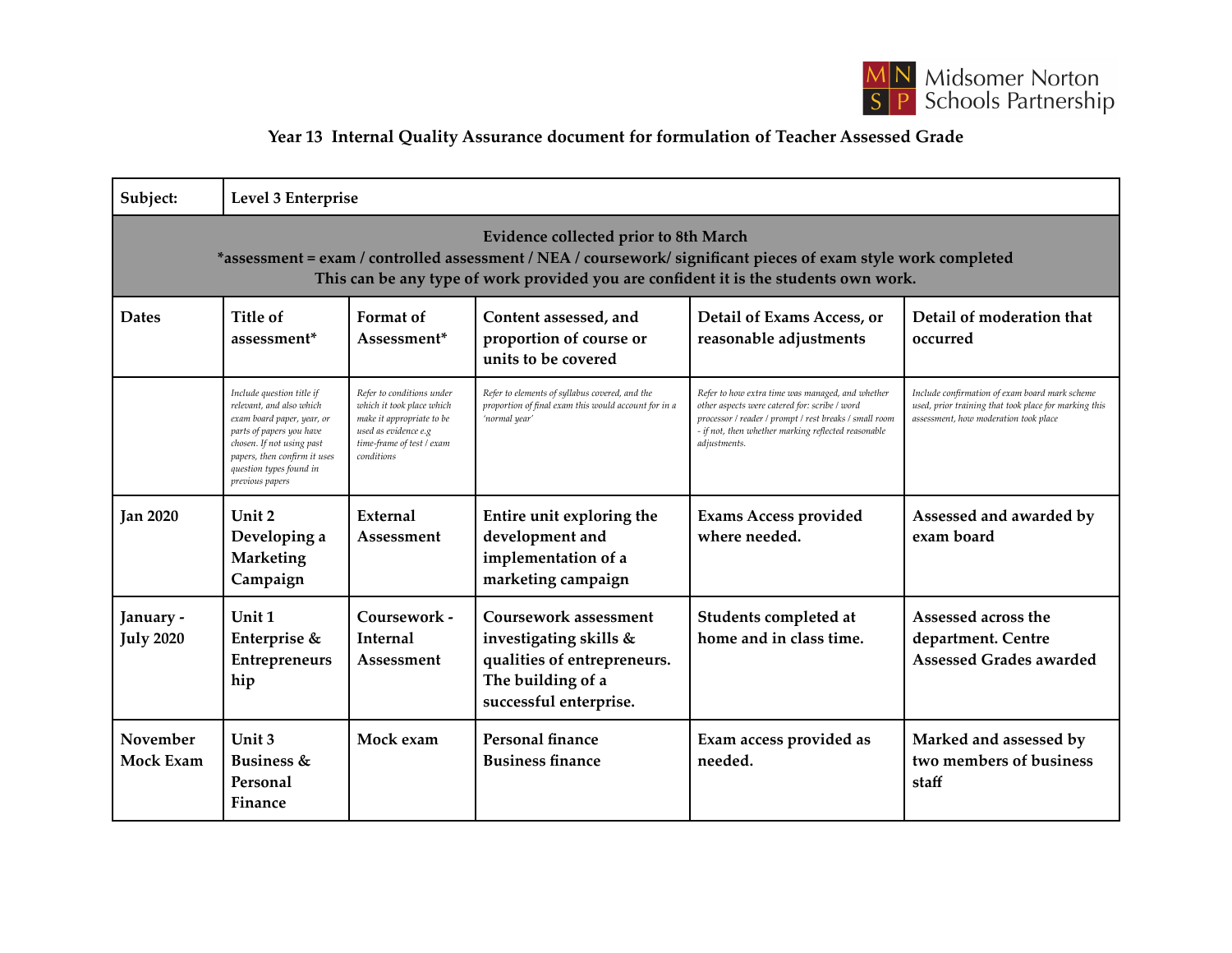

## **Year 13 Internal Quality Assurance document for formulation of Teacher Assessed Grade**

| Subject:                                                                                                                                                                                                                                               | Level 3 Enterprise                                                                                                                                                                                                         |                                                                                                                                                        |                                                                                                                               |                                                                                                                                                                                                                                    |                                                                                                                                                  |  |  |  |  |
|--------------------------------------------------------------------------------------------------------------------------------------------------------------------------------------------------------------------------------------------------------|----------------------------------------------------------------------------------------------------------------------------------------------------------------------------------------------------------------------------|--------------------------------------------------------------------------------------------------------------------------------------------------------|-------------------------------------------------------------------------------------------------------------------------------|------------------------------------------------------------------------------------------------------------------------------------------------------------------------------------------------------------------------------------|--------------------------------------------------------------------------------------------------------------------------------------------------|--|--|--|--|
| <b>Evidence collected prior to 8th March</b><br>*assessment = exam / controlled assessment / NEA / coursework/ significant pieces of exam style work completed<br>This can be any type of work provided you are confident it is the students own work. |                                                                                                                                                                                                                            |                                                                                                                                                        |                                                                                                                               |                                                                                                                                                                                                                                    |                                                                                                                                                  |  |  |  |  |
| <b>Dates</b>                                                                                                                                                                                                                                           | Title of<br>assessment <sup>*</sup>                                                                                                                                                                                        | Format of<br>Assessment*                                                                                                                               | Content assessed, and<br>proportion of course or<br>units to be covered                                                       | Detail of Exams Access, or<br>reasonable adjustments                                                                                                                                                                               | Detail of moderation that<br>occurred                                                                                                            |  |  |  |  |
|                                                                                                                                                                                                                                                        | Include question title if<br>relevant, and also which<br>exam board paper, year, or<br>parts of papers you have<br>chosen. If not using past<br>papers, then confirm it uses<br>question types found in<br>previous papers | Refer to conditions under<br>which it took place which<br>make it appropriate to be<br>used as evidence e.g<br>time-frame of test / exam<br>conditions | Refer to elements of syllabus covered, and the<br>proportion of final exam this would account for in a<br>'normal year'       | Refer to how extra time was managed, and whether<br>other aspects were catered for: scribe / word<br>processor / reader / prompt / rest breaks / small room<br>- if not, then whether marking reflected reasonable<br>adjustments. | Include confirmation of exam board mark scheme<br>used, prior training that took place for marking this<br>assessment, how moderation took place |  |  |  |  |
| <b>Jan 2020</b>                                                                                                                                                                                                                                        | Unit 2<br>Developing a<br><b>Marketing</b><br>Campaign                                                                                                                                                                     | External<br>Assessment                                                                                                                                 | Entire unit exploring the<br>development and<br>implementation of a<br>marketing campaign                                     | <b>Exams Access provided</b><br>where needed.                                                                                                                                                                                      | Assessed and awarded by<br>exam board                                                                                                            |  |  |  |  |
| January -<br><b>July 2020</b>                                                                                                                                                                                                                          | Unit 1<br>Enterprise &<br><b>Entrepreneurs</b><br>hip                                                                                                                                                                      | Coursework -<br><b>Internal</b><br>Assessment                                                                                                          | Coursework assessment<br>investigating skills &<br>qualities of entrepreneurs.<br>The building of a<br>successful enterprise. | Students completed at<br>home and in class time.                                                                                                                                                                                   | Assessed across the<br>department. Centre<br>Assessed Grades awarded                                                                             |  |  |  |  |
| November<br><b>Mock Exam</b>                                                                                                                                                                                                                           | Unit 3<br><b>Business &amp;</b><br>Personal<br>Finance                                                                                                                                                                     | Mock exam                                                                                                                                              | Personal finance<br><b>Business finance</b>                                                                                   | Exam access provided as<br>needed.                                                                                                                                                                                                 | Marked and assessed by<br>two members of business<br>staff                                                                                       |  |  |  |  |